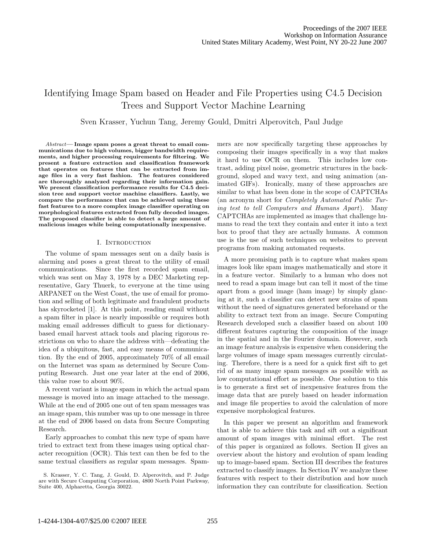# Identifying Image Spam based on Header and File Properties using C4.5 Decision Trees and Support Vector Machine Learning

Sven Krasser, Yuchun Tang, Jeremy Gould, Dmitri Alperovitch, Paul Judge

Abstract**— Image spam poses a great threat to email communications due to high volumes, bigger bandwidth requirements, and higher processing requirements for filtering. We present a feature extraction and classification framework that operates on features that can be extracted from image files in a very fast fashion. The features considered are thoroughly analyzed regarding their information gain. We present classification performance results for C4.5 decision tree and support vector machine classifiers. Lastly, we compare the performance that can be achieved using these fast features to a more complex image classifier operating on morphological features extracted from fully decoded images. The proposed classifier is able to detect a large amount of malicious images while being computationally inexpensive.**

#### I. INTRODUCTION

The volume of spam messages sent on a daily basis is alarming and poses a great threat to the utility of email communications. Since the first recorded spam email, which was sent on May 3, 1978 by a DEC Marketing representative, Gary Thuerk, to everyone at the time using ARPANET on the West Coast, the use of email for promotion and selling of both legitimate and fraudulent products has skyrocketed [1]. At this point, reading email without a spam filter in place is nearly impossible or requires both making email addresses difficult to guess for dictionarybased email harvest attack tools and placing rigorous restrictions on who to share the address with—defeating the idea of a ubiquitous, fast, and easy means of communication. By the end of 2005, approximately 70% of all email on the Internet was spam as determined by Secure Computing Research. Just one year later at the end of 2006, this value rose to about 90%.

A recent variant is image spam in which the actual spam message is moved into an image attached to the message. While at the end of 2005 one out of ten spam messages was an image spam, this number was up to one message in three at the end of 2006 based on data from Secure Computing Research.

Early approaches to combat this new type of spam have tried to extract text from these images using optical character recognition (OCR). This text can then be fed to the same textual classifiers as regular spam messages. Spam-

S. Krasser, Y. C. Tang, J. Gould, D. Alperovitch, and P. Judge are with Secure Computing Corporation, 4800 North Point Parkway, Suite 400, Alpharetta, Georgia 30022.

mers are now specifically targeting these approaches by composing their images specifically in a way that makes it hard to use OCR on them. This includes low contrast, adding pixel noise, geometric structures in the background, sloped and wavy text, and using animation (animated GIFs). Ironically, many of these approaches are similar to what has been done in the scope of CAPTCHAs (an acronym short for Completely Automated Public Turing test to tell Computers and Humans Apart). Many CAPTCHAs are implemented as images that challenge humans to read the text they contain and enter it into a text box to proof that they are actually humans. A common use is the use of such techniques on websites to prevent programs from making automated requests.

A more promising path is to capture what makes spam images look like spam images mathematically and store it in a feature vector. Similarly to a human who does not need to read a spam image but can tell it most of the time apart from a good image (ham image) by simply glancing at it, such a classifier can detect new strains of spam without the need of signatures generated beforehand or the ability to extract text from an image. Secure Computing Research developed such a classifier based on about 100 different features capturing the composition of the image in the spatial and in the Fourier domain. However, such an image feature analysis is expensive when considering the large volumes of image spam messages currently circulating. Therefore, there is a need for a quick first sift to get rid of as many image spam messages as possible with as low computational effort as possible. One solution to this is to generate a first set of inexpensive features from the image data that are purely based on header information and image file properties to avoid the calculation of more expensive morphological features.

In this paper we present an algorithm and framework that is able to achieve this task and sift out a significant amount of spam images with minimal effort. The rest of this paper is organized as follows. Section II gives an overview about the history and evolution of spam leading up to image-based spam. Section III describes the features extracted to classify images. In Section IV we analyze these features with respect to their distribution and how much information they can contribute for classification. Section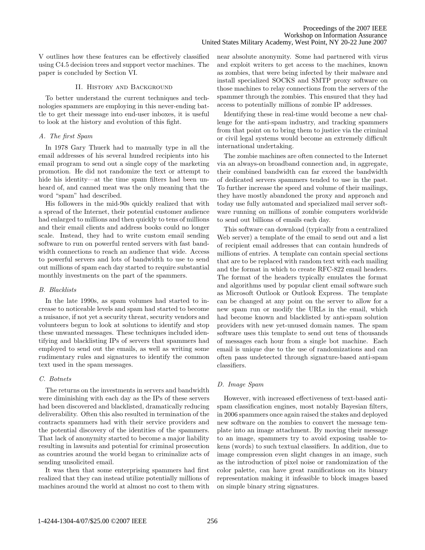V outlines how these features can be effectively classified using C4.5 decision trees and support vector machines. The paper is concluded by Section VI.

## II. History and Background

To better understand the current techniques and technologies spammers are employing in this never-ending battle to get their message into end-user inboxes, it is useful to look at the history and evolution of this fight.

## A. The first Spam

In 1978 Gary Thuerk had to manually type in all the email addresses of his several hundred recipients into his email program to send out a single copy of the marketing promotion. He did not randomize the text or attempt to hide his identity—at the time spam filters had been unheard of, and canned meat was the only meaning that the word "spam" had described.

His followers in the mid-90s quickly realized that with a spread of the Internet, their potential customer audience had enlarged to millions and then quickly to tens of millions and their email clients and address books could no longer scale. Instead, they had to write custom email sending software to run on powerful rented servers with fast bandwidth connections to reach an audience that wide. Access to powerful servers and lots of bandwidth to use to send out millions of spam each day started to require substantial monthly investments on the part of the spammers.

## B. Blacklists

In the late 1990s, as spam volumes had started to increase to noticeable levels and spam had started to become a nuisance, if not yet a security threat, security vendors and volunteers begun to look at solutions to identify and stop these unwanted messages. These techniques included identifying and blacklisting IPs of servers that spammers had employed to send out the emails, as well as writing some rudimentary rules and signatures to identify the common text used in the spam messages.

## C. Botnets

The returns on the investments in servers and bandwidth were diminishing with each day as the IPs of these servers had been discovered and blacklisted, dramatically reducing deliverability. Often this also resulted in termination of the contracts spammers had with their service providers and the potential discovery of the identities of the spammers. That lack of anonymity started to become a major liability resulting in lawsuits and potential for criminal prosecution as countries around the world began to criminalize acts of sending unsolicited email.

It was then that some enterprising spammers had first realized that they can instead utilize potentially millions of machines around the world at almost no cost to them with near absolute anonymity. Some had partnered with virus and exploit writers to get access to the machines, known as zombies, that were being infected by their malware and install specialized SOCKS and SMTP proxy software on those machines to relay connections from the servers of the spammer through the zombies. This ensured that they had access to potentially millions of zombie IP addresses.

Identifying these in real-time would become a new challenge for the anti-spam industry, and tracking spammers from that point on to bring them to justice via the criminal or civil legal systems would become an extremely difficult international undertaking.

The zombie machines are often connected to the Internet via an always-on broadband connection and, in aggregate, their combined bandwidth can far exceed the bandwidth of dedicated servers spammers tended to use in the past. To further increase the speed and volume of their mailings, they have mostly abandoned the proxy and approach and today use fully automated and specialized mail server software running on millions of zombie computers worldwide to send out billions of emails each day.

This software can download (typically from a centralized Web server) a template of the email to send out and a list of recipient email addresses that can contain hundreds of millions of entries. A template can contain special sections that are to be replaced with random text with each mailing and the format in which to create RFC-822 email headers. The format of the headers typically emulates the format and algorithms used by popular client email software such as Microsoft Outlook or Outlook Express. The template can be changed at any point on the server to allow for a new spam run or modify the URLs in the email, which had become known and blacklisted by anti-spam solution providers with new yet-unused domain names. The spam software uses this template to send out tens of thousands of messages each hour from a single bot machine. Each email is unique due to the use of randomizations and can often pass undetected through signature-based anti-spam classifiers.

## D. Image Spam

However, with increased effectiveness of text-based antispam classification engines, most notably Bayesian filters, in 2006 spammers once again raised the stakes and deployed new software on the zombies to convert the message template into an image attachment. By moving their message to an image, spammers try to avoid exposing usable tokens (words) to such textual classifiers. In addition, due to image compression even slight changes in an image, such as the introduction of pixel noise or randomization of the color palette, can have great ramifications on its binary representation making it infeasible to block images based on simple binary string signatures.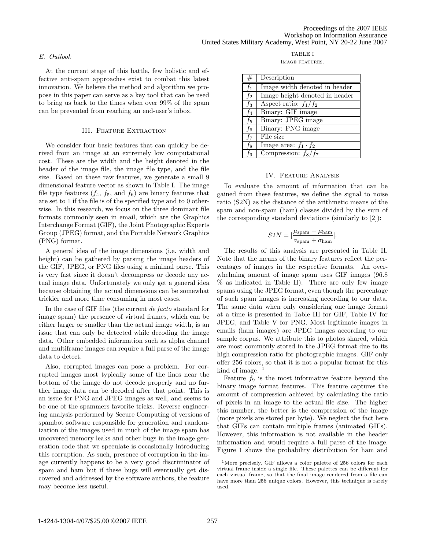## E. Outlook

At the current stage of this battle, few holistic and effective anti-spam approaches exist to combat this latest innovation. We believe the method and algorithm we propose in this paper can serve as a key tool that can be used to bring us back to the times when over 99% of the spam can be prevented from reaching an end-user's inbox.

## III. Feature Extraction

We consider four basic features that can quickly be derived from an image at an extremely low computational cost. These are the width and the height denoted in the header of the image file, the image file type, and the file size. Based on these raw features, we generate a small 9 dimensional feature vector as shown in Table I. The image file type features  $(f_4, f_5, \text{ and } f_6)$  are binary features that are set to 1 if the file is of the specified type and to 0 otherwise. In this research, we focus on the three dominant file formats commonly seen in email, which are the Graphics Interchange Format (GIF), the Joint Photographic Experts Group (JPEG) format, and the Portable Network Graphics (PNG) format.

A general idea of the image dimensions (i.e. width and height) can be gathered by parsing the image headers of the GIF, JPEG, or PNG files using a minimal parse. This is very fast since it doesn't decompress or decode any actual image data. Unfortunately we only get a general idea because obtaining the actual dimensions can be somewhat trickier and more time consuming in most cases.

In the case of GIF files (the current de facto standard for image spam) the presence of virtual frames, which can be either larger or smaller than the actual image width, is an issue that can only be detected while decoding the image data. Other embedded information such as alpha channel and multiframe images can require a full parse of the image data to detect.

Also, corrupted images can pose a problem. For corrupted images most typically some of the lines near the bottom of the image do not decode properly and no further image data can be decoded after that point. This is an issue for PNG and JPEG images as well, and seems to be one of the spammers favorite tricks. Reverse engineering analysis performed by Secure Computing of versions of spambot software responsible for generation and randomization of the images used in much of the image spam has uncovered memory leaks and other bugs in the image generation code that we speculate is occasionally introducing this corruption. As such, presence of corruption in the image currently happens to be a very good discriminator of spam and ham but if these bugs will eventually get discovered and addressed by the software authors, the feature may become less useful.

TABLE I IMAGE FEATURES.

| #                | Description                    |
|------------------|--------------------------------|
| $f_1$            | Image width denoted in header  |
| $f_2$            | Image height denoted in header |
| $f_3$            | Aspect ratio: $f_1/f_2$        |
| $f_4$            | Binary: GIF image              |
| $f_5$            | Binary: JPEG image             |
| $\overline{f_6}$ | Binary: PNG image              |
| $f_7$            | File size                      |
| $f_8$            | Image area: $f_1 \cdot f_2$    |
| $f_9$            | Compression: $f_8/f_7$         |

## IV. Feature Analysis

To evaluate the amount of information that can be gained from these features, we define the signal to noise ratio (S2N) as the distance of the arithmetic means of the spam and non-spam (ham) classes divided by the sum of the corresponding standard deviations (similarly to [2]):

$$
S2N = |\frac{\mu_{\rm spam} - \mu_{\rm ham}}{\sigma_{\rm spam} + \sigma_{\rm ham}}|.
$$

The results of this analysis are presented in Table II. Note that the means of the binary features reflect the percentages of images in the respective formats. An overwhelming amount of image spam uses GIF images (96.8 % as indicated in Table II). There are only few image spams using the JPEG format, even though the percentage of such spam images is increasing according to our data. The same data when only considering one image format at a time is presented in Table III for GIF, Table IV for JPEG, and Table V for PNG. Most legitimate images in emails (ham images) are JPEG images according to our sample corpus. We attribute this to photos shared, which are most commonly stored in the JPEG format due to its high compression ratio for photographic images. GIF only offer 256 colors, so that it is not a popular format for this kind of image.  $<sup>1</sup>$ </sup>

Feature  $f_9$  is the most informative feature beyond the binary image format features. This feature captures the amount of compression achieved by calculating the ratio of pixels in an image to the actual file size. The higher this number, the better is the compression of the image (more pixels are stored per byte). We neglect the fact here that GIFs can contain multiple frames (animated GIFs). However, this information is not available in the header information and would require a full parse of the image. Figure 1 shows the probability distribution for ham and

 $^1 \rm{More}$  precisely, GIF allows a color palette of 256 colors for each virtual frame inside a single file. These palettes can be different for each virtual frame, so that the final image rendered from a file can have more than 256 unique colors. However, this technique is rarely used.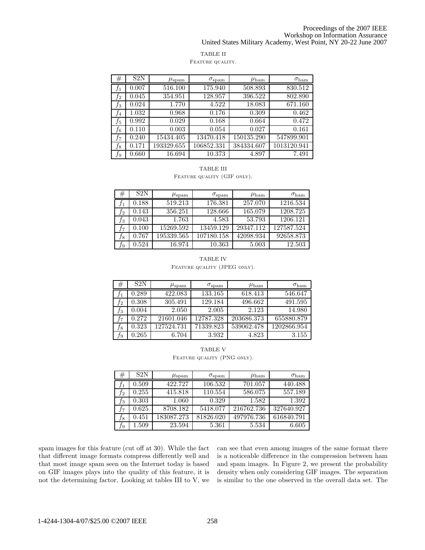#### Proceedings of the 2007 IEEE Workshop on Information Assurance United States Military Academy, West Point, NY 20-22 June 2007

## TABLE II

## FEATURE QUALITY.

| #     | S2N   | $\mu_{\rm spam}$ | $\sigma_{\rm spam}$ | $\mu_{\rm ham}$ | $\sigma_{\rm ham}$ |
|-------|-------|------------------|---------------------|-----------------|--------------------|
| ,f    | 0.007 | 516.100          | 175.940             | 508.893         | 830.512            |
| $f_2$ | 0.045 | 354.951          | 128.957             | 396.522         | 802.890            |
| $f_3$ | 0.024 | 1.770            | 4.522               | 18.083          | 671.160            |
| $f_4$ | 1.032 | 0.968            | 0.176               | 0.309           | 0.462              |
| $f_5$ | 0.992 | 0.029            | 0.168               | 0.664           | 0.472              |
| $f_6$ | 0.110 | 0.003            | 0.054               | 0.027           | 0.161              |
| $f_7$ | 0.240 | 15434.405        | 13470.418           | 150135.290      | 547899.901         |
| $f_8$ | 0.171 | 193329.655       | 106852.331          | 384334.607      | 1013120.941        |
| Ť9    | 0.660 | 16.694           | 10.373              | 4.897           | 7.491              |

## TABLE III

FEATURE QUALITY (GIF ONLY).

| #      | S <sub>2</sub> N | $\mu_{\rm spam}$ | $\sigma_{\rm spam}$ | $\mu_{\rm ham}$ | $\sigma_{\rm ham}$ |
|--------|------------------|------------------|---------------------|-----------------|--------------------|
|        | 0.188            | 519.213          | 176.381             | 257.070         | 1216.534           |
| $f_2\$ | 0.143            | 356.251          | 128.666             | 165.079         | 1208.725           |
| $f_3$  | 0.043            | 1.763            | 4.583               | 53.793          | 1206.121           |
| J7.    | 0.100            | 15269.592        | 13459.129           | 29347.112       | 127587.524         |
| $f_8$  | 0.767            | 195339.565       | 107180.158          | 42098.934       | 92658.873          |
| Ť9     | 0.524            | 16.974           | 10.363              | 5.003           | 12.503             |

## TABLE IV FEATURE QUALITY (JPEG ONLY).

| ₩              | S <sub>2</sub> N | $\mu_{\rm spam}$ | $\sigma_{\rm spam}$ | $\mu_{\rm ham}$ | $\sigma_{\rm ham}$ |
|----------------|------------------|------------------|---------------------|-----------------|--------------------|
|                | 0.289            | 422.083          | 133.165             | 618.413         | 546.647            |
| Τ2             | 0.308            | 305.491          | 129.184             | 496.662         | 491.595            |
| Jз             | 0.004            | 2.050            | 2.005               | 2.123           | 14.980             |
| J <sub>7</sub> | 0.272            | 21601.046        | 12787.328           | 203686.373      | 655880.879         |
| Ĵ8             | 0.323            | 127524.731       | 71339.823           | 539062.478      | 1202866.954        |
| J9             | 0.265            | 6.704            | 3.932               | 4.823           | 3.155              |

|                             | <b>TABLE V</b> |  |
|-----------------------------|----------------|--|
| FEATURE QUALITY (PNG ONLY). |                |  |

| #   | S2N       | $\mu_{\rm spam}$ | $\sigma_{\rm spam}$ | $\mu_{\rm ham}$ | $\sigma_{\rm ham}$ |
|-----|-----------|------------------|---------------------|-----------------|--------------------|
|     | 0.509     | 422.727          | 106.532             | 701.057         | 440.488            |
| Ť2  | 0.255     | 415.818          | 110.554             | 586.075         | 557.189            |
| fз  | 0.303     | 1.060            | 0.329               | 1.582           | 1.392              |
| J7. | 0.625     | 8708.182         | 5418.077            | 216762.736      | 327640.927         |
| J8. | 0.451     | 183087.273       | 81826.020           | 497976.736      | 616840.791         |
| Ť9  | $1.509\,$ | 23.594           | 5.361               | 5.534           | 6.605              |

spam images for this feature (cut off at 30). While the fact that different image formats compress differently well and that most image spam seen on the Internet today is based on GIF images plays into the quality of this feature, it is not the determining factor. Looking at tables III to V, we can see that even among images of the same format there is a noticeable difference in the compression between ham and spam images. In Figure 2, we present the probability density when only considering GIF images. The separation is similar to the one observed in the overall data set. The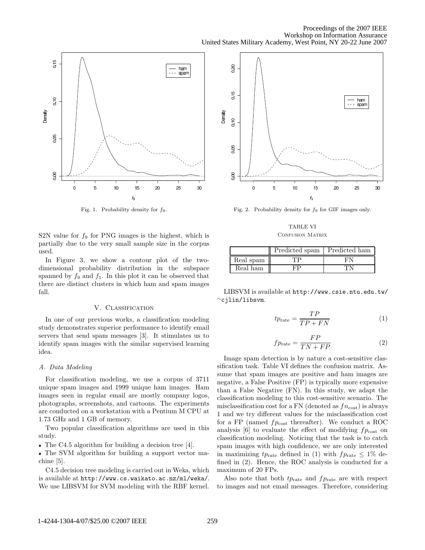

Fig. 1. Probability density for  $f_9$ .

S2N value for  $f_9$  for PNG images is the highest, which is partially due to the very small sample size in the corpus used.

In Figure 3, we show a contour plot of the twodimensional probability distribution in the subspace spanned by  $f_9$  and  $f_1$ . In this plot it can be observed that there are distinct clusters in which ham and spam images fall.

## V. CLASSIFICATION

In one of our previous works, a classification modeling study demonstrates superior performance to identify email servers that send spam messages [3]. It stimulates us to identify spam images with the similar supervised learning idea.

## A. Data Modeling

For classification modeling, we use a corpus of 3711 unique spam images and 1999 unique ham images. Ham images seen in regular email are mostly company logos, photographs, screenshots, and cartoons. The experiments are conducted on a workstation with a Pentium M CPU at 1.73 GHz and 1 GB of memory.

Two popular classification algorithms are used in this study.

• The C4.5 algorithm for building a decision tree [4].

• The SVM algorithm for building a support vector machine [5].

C4.5 decision tree modeling is carried out in Weka, which is available at http://www.cs.waikato.ac.nz/ml/weka/. We use LIBSVM for SVM modeling with the RBF kernel.



Fig. 2. Probability density for  $f_9$  for GIF images only.

TABLE VI CONFUSION MATRIX

|           | Predicted spam | Predicted ham |
|-----------|----------------|---------------|
| Real spam |                |               |
| Real ham  |                |               |

LIBSVM is available at http://www.csie.ntu.edu.tw/ <sup>∼</sup>cjlin/libsvm.

$$
tp_{\text{rate}} = \frac{TP}{TP + FN} \tag{1}
$$

$$
fprate = \frac{FP}{TN + FP}
$$
 (2)

Image spam detection is by nature a cost-sensitive classification task. Table VI defines the confusion matrix. Assume that spam images are positive and ham images are negative, a False Positive (FP) is typically more expensive than a False Negative (FN). In this study, we adapt the classification modeling to this cost-sensitive scenario. The misclassification cost for a FN (denoted as  $fn_{\text{cost}}$ ) is always 1 and we try different values for the misclassification cost for a FP (named  $fp_{\text{cost}}$  thereafter). We conduct a ROC analysis [6] to evaluate the effect of modifying  $fp<sub>cost</sub>$  on classification modeling. Noticing that the task is to catch spam images with high confidence, we are only interested in maximizing  $tp_{\text{rate}}$  defined in (1) with  $fp_{\text{rate}} \leq 1\%$  defined in (2). Hence, the ROC analysis is conducted for a maximum of 20 FPs.

Also note that both  $tp_{\text{rate}}$  and  $fp_{\text{rate}}$  are with respect to images and not email messages. Therefore, considering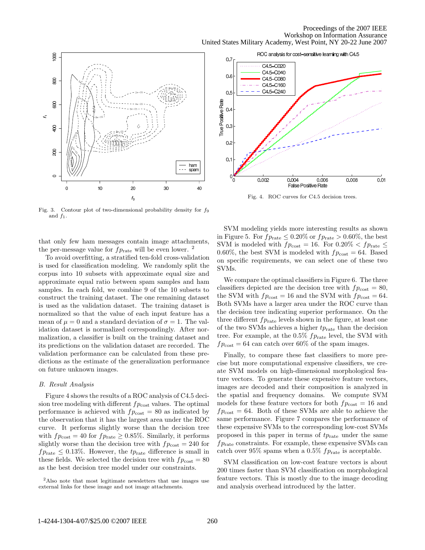ROC analysis for cost-sensitive learning with C4.5





Fig. 4. ROC curves for C4.5 decision trees.

Fig. 3. Contour plot of two-dimensional probability density for  $f_9$ and  $f_1$ .

that only few ham messages contain image attachments, the per-message value for  $fp<sub>rate</sub>$  will be even lower. <sup>2</sup>

To avoid overfitting, a stratified ten-fold cross-validation is used for classification modeling. We randomly split the corpus into 10 subsets with approximate equal size and approximate equal ratio between spam samples and ham samples. In each fold, we combine 9 of the 10 subsets to construct the training dataset. The one remaining dataset is used as the validation dataset. The training dataset is normalized so that the value of each input feature has a mean of  $\mu = 0$  and a standard deviation of  $\sigma = 1$ . The validation dataset is normalized correspondingly. After normalization, a classifier is built on the training dataset and its predictions on the validation dataset are recorded. The validation performance can be calculated from these predictions as the estimate of the generalization performance on future unknown images.

#### B. Result Analysis

Figure 4 shows the results of a ROC analysis of C4.5 decision tree modeling with different  $fp<sub>cost</sub>$  values. The optimal performance is achieved with  $fp<sub>cost</sub> = 80$  as indicated by the observation that it has the largest area under the ROC curve. It performs slightly worse than the decision tree with  $fp_{\text{cost}} = 40$  for  $fp_{\text{rate}} \geq 0.85\%$ . Similarly, it performs slightly worse than the decision tree with  $fp_{\text{cost}} = 240$  for  $fp<sub>rate</sub> \leq 0.13\%$ . However, the  $tp<sub>rate</sub>$  difference is small in these fields. We selected the decision tree with  $fp<sub>cost</sub> = 80$ as the best decision tree model under our constraints.

SVM modeling yields more interesting results as shown in Figure 5. For  $fp_{\text{rate}} \leq 0.20\%$  or  $fp_{\text{rate}} > 0.60\%$ , the best SVM is modeled with  $fp_{\text{cost}} = 16$ . For  $0.20\% < fp_{\text{rate}} \le$ 0.60%, the best SVM is modeled with  $fp<sub>cost</sub> = 64$ . Based on specific requirements, we can select one of these two SVMs.

We compare the optimal classifiers in Figure 6. The three classifiers depicted are the decision tree with  $fp<sub>cost</sub> = 80$ , the SVM with  $fp_{\text{cost}} = 16$  and the SVM with  $fp_{\text{cost}} = 64$ . Both SVMs have a larger area under the ROC curve than the decision tree indicating superior performance. On the three different  $fp<sub>rate</sub>$  levels shown in the figure, at least one of the two SVMs achieves a higher  $tp_{\text{rate}}$  than the decision tree. For example, at the  $0.5\%$   $fp<sub>rate</sub>$  level, the SVM with  $fp_{\text{cost}} = 64$  can catch over 60% of the spam images.

Finally, to compare these fast classifiers to more precise but more computational expensive classifiers, we create SVM models on high-dimensional morphological feature vectors. To generate these expensive feature vectors, images are decoded and their composition is analyzed in the spatial and frequency domains. We compute SVM models for these feature vectors for both  $fp_{\text{cost}} = 16$  and  $fp_{\text{cost}} = 64.$  Both of these SVMs are able to achieve the same performance. Figure 7 compares the performance of these expensive SVMs to the corresponding low-cost SVMs proposed in this paper in terms of  $tp_{\text{rate}}$  under the same  $fp<sub>rate</sub> constraints. For example, these expensive SVMs can$ catch over 95% spams when a 0.5%  $fp<sub>rate</sub>$  is acceptable.

SVM classification on low-cost feature vectors is about 200 times faster than SVM classification on morphological feature vectors. This is mostly due to the image decoding and analysis overhead introduced by the latter.

<sup>2</sup>Also note that most legitimate newsletters that use images use external links for these image and not image attachments.